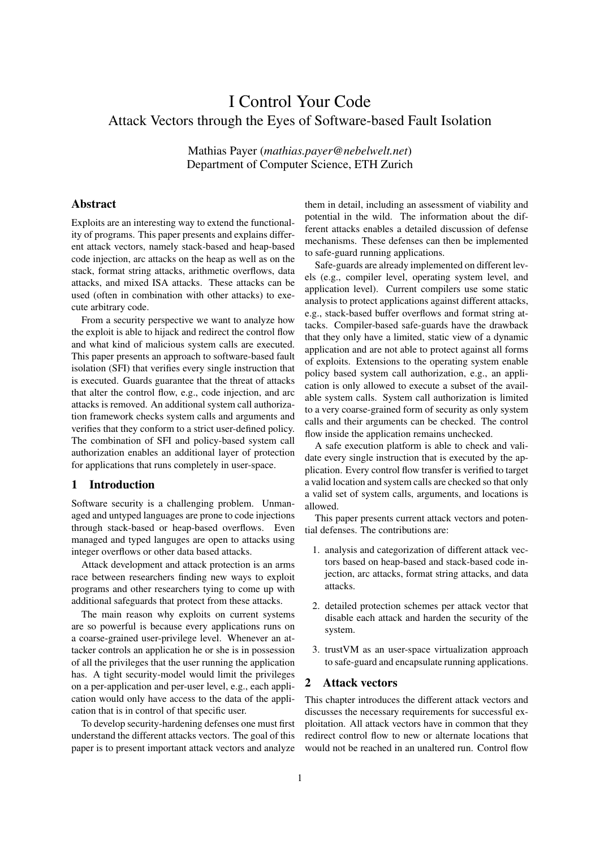# I Control Your Code Attack Vectors through the Eyes of Software-based Fault Isolation

Mathias Payer (*mathias.payer@nebelwelt.net*) Department of Computer Science, ETH Zurich

# Abstract

Exploits are an interesting way to extend the functionality of programs. This paper presents and explains different attack vectors, namely stack-based and heap-based code injection, arc attacks on the heap as well as on the stack, format string attacks, arithmetic overflows, data attacks, and mixed ISA attacks. These attacks can be used (often in combination with other attacks) to execute arbitrary code.

From a security perspective we want to analyze how the exploit is able to hijack and redirect the control flow and what kind of malicious system calls are executed. This paper presents an approach to software-based fault isolation (SFI) that verifies every single instruction that is executed. Guards guarantee that the threat of attacks that alter the control flow, e.g., code injection, and arc attacks is removed. An additional system call authorization framework checks system calls and arguments and verifies that they conform to a strict user-defined policy. The combination of SFI and policy-based system call authorization enables an additional layer of protection for applications that runs completely in user-space.

# 1 Introduction

Software security is a challenging problem. Unmanaged and untyped languages are prone to code injections through stack-based or heap-based overflows. Even managed and typed languges are open to attacks using integer overflows or other data based attacks.

Attack development and attack protection is an arms race between researchers finding new ways to exploit programs and other researchers tying to come up with additional safeguards that protect from these attacks.

The main reason why exploits on current systems are so powerful is because every applications runs on a coarse-grained user-privilege level. Whenever an attacker controls an application he or she is in possession of all the privileges that the user running the application has. A tight security-model would limit the privileges on a per-application and per-user level, e.g., each application would only have access to the data of the application that is in control of that specific user.

To develop security-hardening defenses one must first understand the different attacks vectors. The goal of this paper is to present important attack vectors and analyze them in detail, including an assessment of viability and potential in the wild. The information about the different attacks enables a detailed discussion of defense mechanisms. These defenses can then be implemented to safe-guard running applications.

Safe-guards are already implemented on different levels (e.g., compiler level, operating system level, and application level). Current compilers use some static analysis to protect applications against different attacks, e.g., stack-based buffer overflows and format string attacks. Compiler-based safe-guards have the drawback that they only have a limited, static view of a dynamic application and are not able to protect against all forms of exploits. Extensions to the operating system enable policy based system call authorization, e.g., an application is only allowed to execute a subset of the available system calls. System call authorization is limited to a very coarse-grained form of security as only system calls and their arguments can be checked. The control flow inside the application remains unchecked.

A safe execution platform is able to check and validate every single instruction that is executed by the application. Every control flow transfer is verified to target a valid location and system calls are checked so that only a valid set of system calls, arguments, and locations is allowed.

This paper presents current attack vectors and potential defenses. The contributions are:

- 1. analysis and categorization of different attack vectors based on heap-based and stack-based code injection, arc attacks, format string attacks, and data attacks.
- 2. detailed protection schemes per attack vector that disable each attack and harden the security of the system.
- 3. trustVM as an user-space virtualization approach to safe-guard and encapsulate running applications.

# 2 Attack vectors

This chapter introduces the different attack vectors and discusses the necessary requirements for successful exploitation. All attack vectors have in common that they redirect control flow to new or alternate locations that would not be reached in an unaltered run. Control flow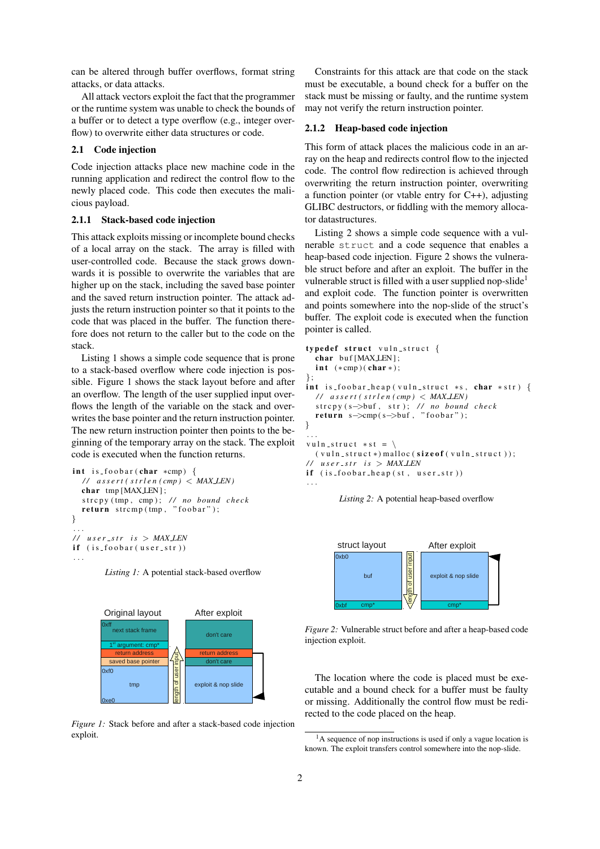can be altered through buffer overflows, format string attacks, or data attacks.

All attack vectors exploit the fact that the programmer or the runtime system was unable to check the bounds of a buffer or to detect a type overflow (e.g., integer overflow) to overwrite either data structures or code.

# 2.1 Code injection

Code injection attacks place new machine code in the running application and redirect the control flow to the newly placed code. This code then executes the malicious payload.

## 2.1.1 Stack-based code injection

This attack exploits missing or incomplete bound checks of a local array on the stack. The array is filled with user-controlled code. Because the stack grows downwards it is possible to overwrite the variables that are higher up on the stack, including the saved base pointer and the saved return instruction pointer. The attack adjusts the return instruction pointer so that it points to the code that was placed in the buffer. The function therefore does not return to the caller but to the code on the stack.

Listing 1 shows a simple code sequence that is prone to a stack-based overflow where code injection is possible. Figure 1 shows the stack layout before and after an overflow. The length of the user supplied input overflows the length of the variable on the stack and overwrites the base pointer and the return instruction pointer. The new return instruction pointer then points to the beginning of the temporary array on the stack. The exploit code is executed when the function returns.

```
int is foobar (char *cmp) {
  \frac{1}{4} assert (strlen (cmp) < MAXLEN)
  char tmp [MAX_LEN];
  strcpy (tmp, cmp); // no bound check
  return \text{stremp}(\text{tmp}, \text{ "foobar");}}
. . .
\frac{1}{1} user_str is > MAX_LEN
if (is_foobar(user_str)). . .
```
*Listing 1:* A potential stack-based overflow



*Figure 1:* Stack before and after a stack-based code injection exploit.

Constraints for this attack are that code on the stack must be executable, a bound check for a buffer on the stack must be missing or faulty, and the runtime system may not verify the return instruction pointer.

# 2.1.2 Heap-based code injection

This form of attack places the malicious code in an array on the heap and redirects control flow to the injected code. The control flow redirection is achieved through overwriting the return instruction pointer, overwriting a function pointer (or vtable entry for C++), adjusting GLIBC destructors, or fiddling with the memory allocator datastructures.

Listing 2 shows a simple code sequence with a vulnerable struct and a code sequence that enables a heap-based code injection. Figure 2 shows the vulnerable struct before and after an exploit. The buffer in the vulnerable struct is filled with a user supplied nop-slide<sup>1</sup> and exploit code. The function pointer is overwritten and points somewhere into the nop-slide of the struct's buffer. The exploit code is executed when the function pointer is called.

```
typedef struct vuln_struct {
   char buf [MAXLEN];
   int (*cmp)(char*);
};
int is foobar heap (vuln struct *s, char *str) {
   \frac{1}{4} assert (strlen (cmp) < MAX_LEN)
   strcpy (s->buf, str); // no bound check
  return s \rightarrow \text{cmp}(s \rightarrow \text{buf}, "foobar");
}
. . .
v u l n _ s t r u c t * s t = \
  (v u l n _ s t r u c t *) m all o c (s i z e o f (v u l n _ s t r u c t ));\frac{1}{\sqrt{2}} user_str is > MAX_LEN
if (is_foobar-heap(st, user str)). . .
```
*Listing 2:* A potential heap-based overflow



*Figure 2:* Vulnerable struct before and after a heap-based code injection exploit.

The location where the code is placed must be executable and a bound check for a buffer must be faulty or missing. Additionally the control flow must be redirected to the code placed on the heap.

<sup>&</sup>lt;sup>1</sup>A sequence of nop instructions is used if only a vague location is known. The exploit transfers control somewhere into the nop-slide.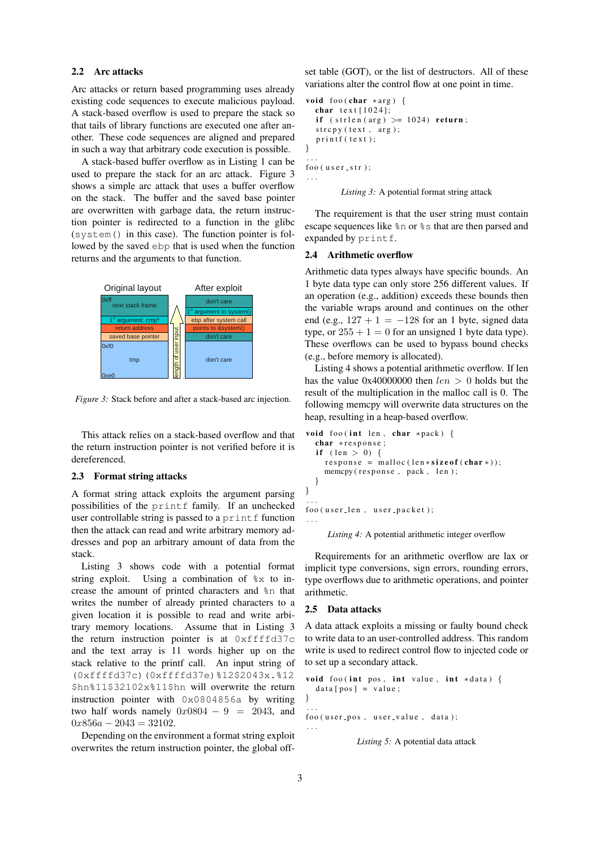# 2.2 Arc attacks

Arc attacks or return based programming uses already existing code sequences to execute malicious payload. A stack-based overflow is used to prepare the stack so that tails of library functions are executed one after another. These code sequences are aligned and prepared in such a way that arbitrary code execution is possible.

A stack-based buffer overflow as in Listing 1 can be used to prepare the stack for an arc attack. Figure 3 shows a simple arc attack that uses a buffer overflow on the stack. The buffer and the saved base pointer are overwritten with garbage data, the return instruction pointer is redirected to a function in the glibc (system() in this case). The function pointer is followed by the saved ebp that is used when the function returns and the arguments to that function.



*Figure 3:* Stack before and after a stack-based arc injection.

This attack relies on a stack-based overflow and that the return instruction pointer is not verified before it is dereferenced.

#### 2.3 Format string attacks

A format string attack exploits the argument parsing possibilities of the printf family. If an unchecked user controllable string is passed to a print  $f$  function then the attack can read and write arbitrary memory addresses and pop an arbitrary amount of data from the stack.

Listing 3 shows code with a potential format string exploit. Using a combination of %x to increase the amount of printed characters and %n that writes the number of already printed characters to a given location it is possible to read and write arbitrary memory locations. Assume that in Listing 3 the return instruction pointer is at  $0 \times f \in \text{ffd37c}$ and the text array is 11 words higher up on the stack relative to the printf call. An input string of (0xffffd37c)(0xffffd37e)%12\$2043x.%12 \$hn%11\$32102x%11\$hn will overwrite the return instruction pointer with 0x0804856a by writing two half words namely  $0x0804 - 9 = 2043$ , and  $0x856a - 2043 = 32102.$ 

Depending on the environment a format string exploit overwrites the return instruction pointer, the global offset table (GOT), or the list of destructors. All of these variations alter the control flow at one point in time.

```
void foo (char *arg) {
  char text [1024];if (\text{strlen}(\text{arg}) \geq 1024) return;
  stropy (text, arg);print(f (text);}
. . .
foo (user<sub>-str</sub>);
. . .
```
*Listing 3:* A potential format string attack

The requirement is that the user string must contain escape sequences like %n or %s that are then parsed and expanded by printf.

## 2.4 Arithmetic overflow

Arithmetic data types always have specific bounds. An 1 byte data type can only store 256 different values. If an operation (e.g., addition) exceeds these bounds then the variable wraps around and continues on the other end (e.g.,  $127 + 1 = -128$  for an 1 byte, signed data type, or  $255 + 1 = 0$  for an unsigned 1 byte data type). These overflows can be used to bypass bound checks (e.g., before memory is allocated).

Listing 4 shows a potential arithmetic overflow. If len has the value 0x40000000 then  $len > 0$  holds but the result of the multiplication in the malloc call is 0. The following memcpy will overwrite data structures on the heap, resulting in a heap-based overflow.

```
void foo (int len, char *pack) {
  char * response;
  if (\text{len} > 0) {
    response = malloc (len * size of (char *));
    memcpy (response, pack, len);
  }
}
. . .
foo (user_len, user_packet);
. . .
```
*Listing 4:* A potential arithmetic integer overflow

Requirements for an arithmetic overflow are lax or implicit type conversions, sign errors, rounding errors, type overflows due to arithmetic operations, and pointer arithmetic.

#### 2.5 Data attacks

A data attack exploits a missing or faulty bound check to write data to an user-controlled address. This random write is used to redirect control flow to injected code or to set up a secondary attack.

```
void foo (int pos, int value, int *data) {
  data [pos] = value;}
. . .
foo (user_pos, user_value, data);
. . .
```

```
Listing 5: A potential data attack
```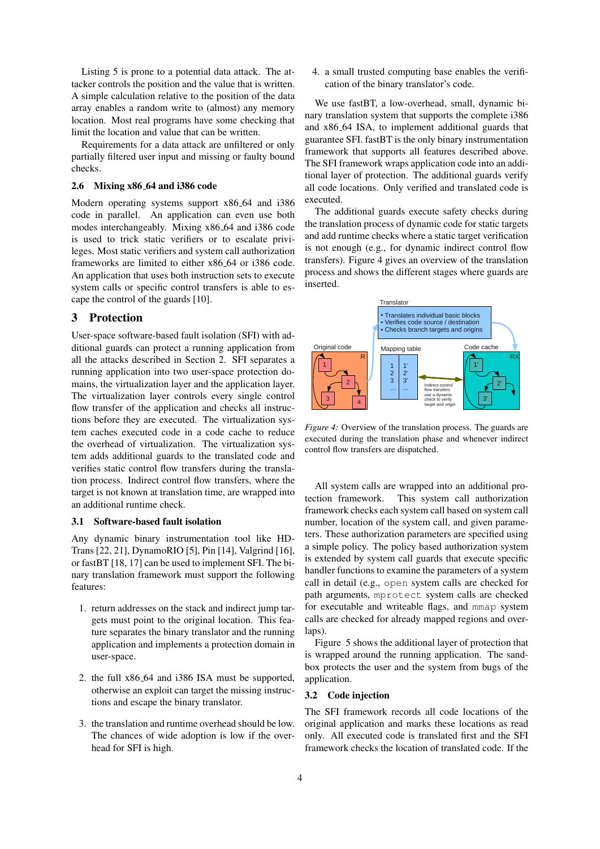Listing 5 is prone to a potential data attack. The attacker controls the position and the value that is written. A simple calculation relative to the position of the data array enables a random write to (almost) any memory location. Most real programs have some checking that limit the location and value that can be written.

Requirements for a data attack are unfiltered or only partially filtered user input and missing or faulty bound checks.

## 2.6 Mixing x86 64 and i386 code

Modern operating systems support x86 64 and i386 code in parallel. An application can even use both modes interchangeably. Mixing x86 64 and i386 code is used to trick static verifiers or to escalate privileges. Most static verifiers and system call authorization frameworks are limited to either x86 64 or i386 code. An application that uses both instruction sets to execute system calls or specific control transfers is able to escape the control of the guards [10].

## 3 Protection

User-space software-based fault isolation (SFI) with additional guards can protect a running application from all the attacks described in Section 2. SFI separates a running application into two user-space protection domains, the virtualization layer and the application layer. The virtualization layer controls every single control flow transfer of the application and checks all instructions before they are executed. The virtualization system caches executed code in a code cache to reduce the overhead of virtualization. The virtualization system adds additional guards to the translated code and verifies static control flow transfers during the translation process. Indirect control flow transfers, where the target is not known at translation time, are wrapped into an additional runtime check.

#### 3.1 Software-based fault isolation

Any dynamic binary instrumentation tool like HD-Trans [22, 21], DynamoRIO [5], Pin [14], Valgrind [16], or fastBT [18, 17] can be used to implement SFI. The binary translation framework must support the following features:

- 1. return addresses on the stack and indirect jump targets must point to the original location. This feature separates the binary translator and the running application and implements a protection domain in user-space.
- 2. the full x86 64 and i386 ISA must be supported, otherwise an exploit can target the missing instructions and escape the binary translator.
- 3. the translation and runtime overhead should be low. The chances of wide adoption is low if the overhead for SFI is high.

4. a small trusted computing base enables the verification of the binary translator's code.

We use fastBT, a low-overhead, small, dynamic binary translation system that supports the complete i386 and x86 64 ISA, to implement additional guards that guarantee SFI. fastBT is the only binary instrumentation framework that supports all features described above. The SFI framework wraps application code into an additional layer of protection. The additional guards verify all code locations. Only verified and translated code is executed.

The additional guards execute safety checks during the translation process of dynamic code for static targets and add runtime checks where a static target verification is not enough (e.g., for dynamic indirect control flow transfers). Figure 4 gives an overview of the translation process and shows the different stages where guards are inserted.



*Figure 4:* Overview of the translation process. The guards are executed during the translation phase and whenever indirect control flow transfers are dispatched.

All system calls are wrapped into an additional protection framework. This system call authorization framework checks each system call based on system call number, location of the system call, and given parameters. These authorization parameters are specified using a simple policy. The policy based authorization system is extended by system call guards that execute specific handler functions to examine the parameters of a system call in detail (e.g., open system calls are checked for path arguments, mprotect system calls are checked for executable and writeable flags, and mmap system calls are checked for already mapped regions and overlaps).

Figure 5 shows the additional layer of protection that is wrapped around the running application. The sandbox protects the user and the system from bugs of the application.

# 3.2 Code injection

The SFI framework records all code locations of the original application and marks these locations as read only. All executed code is translated first and the SFI framework checks the location of translated code. If the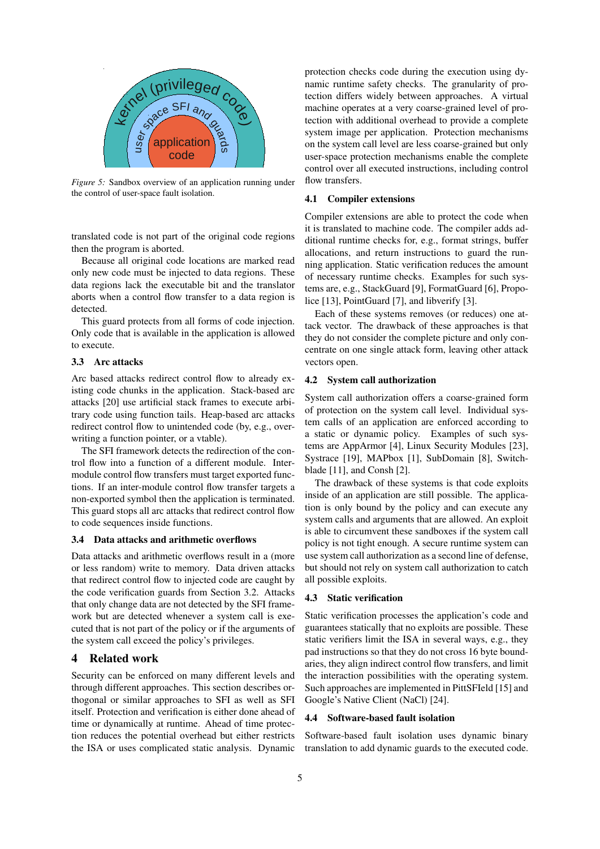

*Figure 5:* Sandbox overview of an application running under the control of user-space fault isolation.

translated code is not part of the original code regions then the program is aborted.

Because all original code locations are marked read only new code must be injected to data regions. These data regions lack the executable bit and the translator aborts when a control flow transfer to a data region is detected.

This guard protects from all forms of code injection. Only code that is available in the application is allowed to execute.

## 3.3 Arc attacks

Arc based attacks redirect control flow to already existing code chunks in the application. Stack-based arc attacks [20] use artificial stack frames to execute arbitrary code using function tails. Heap-based arc attacks redirect control flow to unintended code (by, e.g., overwriting a function pointer, or a vtable).

The SFI framework detects the redirection of the control flow into a function of a different module. Intermodule control flow transfers must target exported functions. If an inter-module control flow transfer targets a non-exported symbol then the application is terminated. This guard stops all arc attacks that redirect control flow to code sequences inside functions.

#### 3.4 Data attacks and arithmetic overflows

Data attacks and arithmetic overflows result in a (more or less random) write to memory. Data driven attacks that redirect control flow to injected code are caught by the code verification guards from Section 3.2. Attacks that only change data are not detected by the SFI framework but are detected whenever a system call is executed that is not part of the policy or if the arguments of the system call exceed the policy's privileges.

## 4 Related work

Security can be enforced on many different levels and through different approaches. This section describes orthogonal or similar approaches to SFI as well as SFI itself. Protection and verification is either done ahead of time or dynamically at runtime. Ahead of time protection reduces the potential overhead but either restricts the ISA or uses complicated static analysis. Dynamic protection checks code during the execution using dynamic runtime safety checks. The granularity of protection differs widely between approaches. A virtual machine operates at a very coarse-grained level of protection with additional overhead to provide a complete system image per application. Protection mechanisms on the system call level are less coarse-grained but only user-space protection mechanisms enable the complete control over all executed instructions, including control flow transfers.

## 4.1 Compiler extensions

Compiler extensions are able to protect the code when it is translated to machine code. The compiler adds additional runtime checks for, e.g., format strings, buffer allocations, and return instructions to guard the running application. Static verification reduces the amount of necessary runtime checks. Examples for such systems are, e.g., StackGuard [9], FormatGuard [6], Propolice [13], PointGuard [7], and libverify [3].

Each of these systems removes (or reduces) one attack vector. The drawback of these approaches is that they do not consider the complete picture and only concentrate on one single attack form, leaving other attack vectors open.

# 4.2 System call authorization

System call authorization offers a coarse-grained form of protection on the system call level. Individual system calls of an application are enforced according to a static or dynamic policy. Examples of such systems are AppArmor [4], Linux Security Modules [23], Systrace [19], MAPbox [1], SubDomain [8], Switchblade [11], and Consh [2].

The drawback of these systems is that code exploits inside of an application are still possible. The application is only bound by the policy and can execute any system calls and arguments that are allowed. An exploit is able to circumvent these sandboxes if the system call policy is not tight enough. A secure runtime system can use system call authorization as a second line of defense, but should not rely on system call authorization to catch all possible exploits.

## 4.3 Static verification

Static verification processes the application's code and guarantees statically that no exploits are possible. These static verifiers limit the ISA in several ways, e.g., they pad instructions so that they do not cross 16 byte boundaries, they align indirect control flow transfers, and limit the interaction possibilities with the operating system. Such approaches are implemented in PittSFIeld [15] and Google's Native Client (NaCl) [24].

## 4.4 Software-based fault isolation

Software-based fault isolation uses dynamic binary translation to add dynamic guards to the executed code.